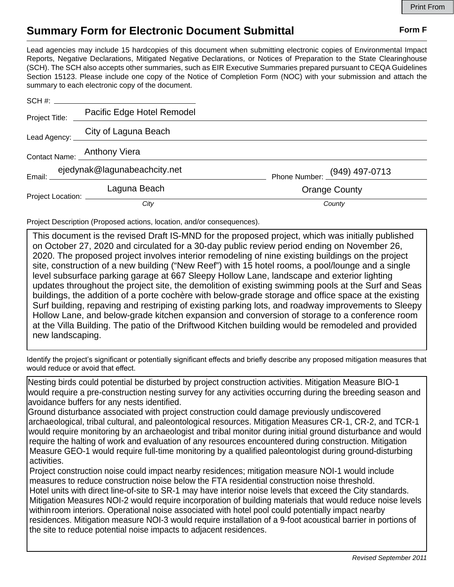## **Summary Form for Electronic Document Submittal Form F Form F**

Lead agencies may include 15 hardcopies of this document when submitting electronic copies of Environmental Impact Reports, Negative Declarations, Mitigated Negative Declarations, or Notices of Preparation to the State Clearinghouse (SCH). The SCH also accepts other summaries, such as EIR Executive Summaries prepared pursuant to CEQA Guidelines Section 15123. Please include one copy of the Notice of Completion Form (NOC) with your submission and attach the summary to each electronic copy of the document.

|                  | SCH #:                            |                              |
|------------------|-----------------------------------|------------------------------|
| Project Title: _ | Pacific Edge Hotel Remodel        |                              |
|                  | Lead Agency: City of Laguna Beach |                              |
|                  | Contact Name: Anthony Viera       |                              |
|                  | ejedynak@lagunabeachcity.net      | Phone Number: (949) 497-0713 |
|                  | Laguna Beach                      | <b>Orange County</b>         |
|                  | City                              | County                       |

Project Description (Proposed actions, location, and/or consequences).

new landscaping. at the Villa Building. The patio of the Driftwood Kitchen building would be remodeled and provided Hollow Lane, and below-grade kitchen expansion and conversion of storage to a conference room Surf building, repaving and restriping of existing parking lots, and roadway improvements to Sleepy buildings, the addition of a porte cochère with below-grade storage and office space at the existing updates throughout the project site, the demolition of existing swimming pools at the Surf and Seas level subsurface parking garage at 667 Sleepy Hollow Lane, landscape and exterior lighting site, construction of a new building ("New Reef") with 15 hotel rooms, a pool/lounge and a single 2020. The proposed project involves interior remodeling of nine existing buildings on the project on October 27, 2020 and circulated for a 30-day public review period ending on November 26, This document is the revised Draft IS-MND for the proposed project, which was initially published

Identify the project's significant or potentially significant effects and briefly describe any proposed mitigation measures that would reduce or avoid that effect.

avoidance buffers for any nests identified. would require a pre-construction nesting survey for any activities occurring during the breeding season and Nesting birds could potential be disturbed by project construction activities. Mitigation Measure BIO-1

activities. Measure GEO-1 would require full-time monitoring by a qualified paleontologist during ground-disturbing require the halting of work and evaluation of any resources encountered during construction. Mitigation would require monitoring by an archaeologist and tribal monitor during initial ground disturbance and would archaeological, tribal cultural, and paleontological resources. Mitigation Measures CR-1, CR-2, and TCR-1 Ground disturbance associated with project construction could damage previously undiscovered

the site to reduce potential noise impacts to adjacent residences. residences. Mitigation measure NOI-3 would require installation of a 9-foot acoustical barrier in portions of within room interiors. Operational noise associated with hotel pool could potentially impact nearby Mitigation Measures NOI-2 would require incorporation of building materials that would reduce noise levels Hotel units with direct line-of-site to SR-1 may have interior noise levels that exceed the City standards. measures to reduce construction noise below the FTA residential construction noise threshold. Project construction noise could impact nearby residences; mitigation measure NOI-1 would include